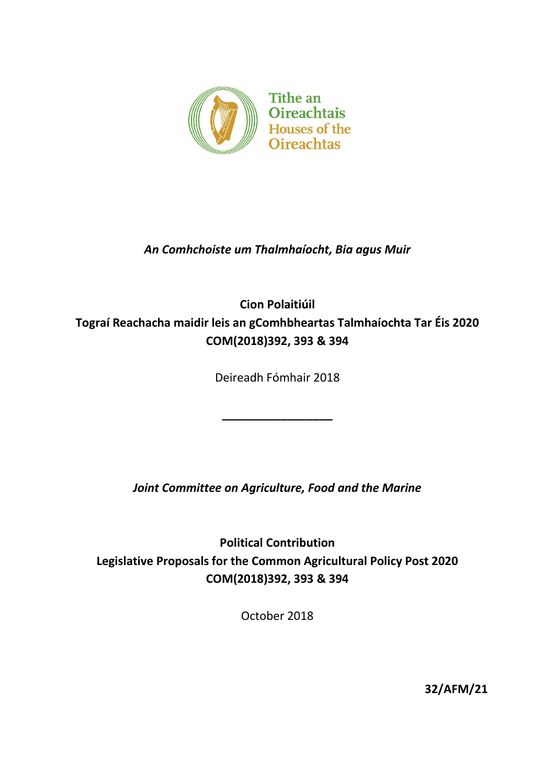

# *An Comhchoiste um Thalmhaíocht, Bia agus Muir*

# **Cion Polaitiúil Tograí Reachacha maidir leis an gComhbheartas Talmhaíochta Tar Éis 2020 COM(2018)392, 393 & 394**

Deireadh Fómhair 2018

**\_\_\_\_\_\_\_\_\_\_\_\_\_\_\_\_\_**

*Joint Committee on Agriculture, Food and the Marine*

**Political Contribution Legislative Proposals for the Common Agricultural Policy Post 2020 COM(2018)392, 393 & 394**

October 2018

**32/AFM/21**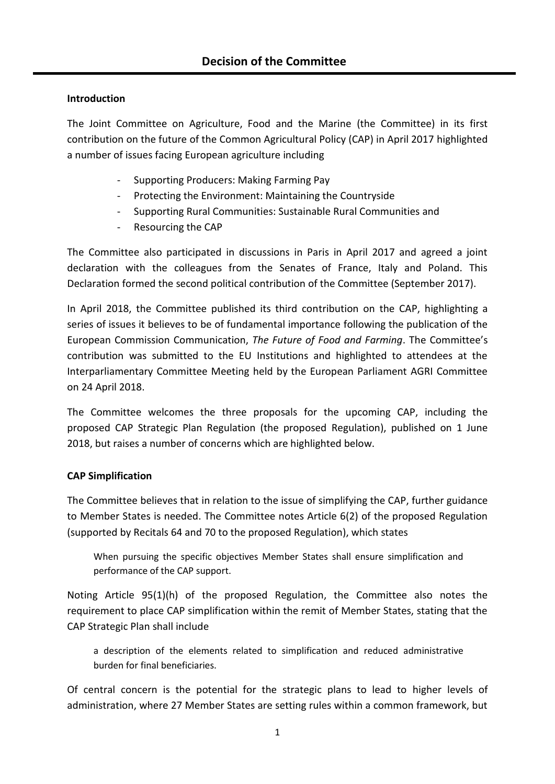## **Introduction**

The Joint Committee on Agriculture, Food and the Marine (the Committee) in its first contribution on the future of the Common Agricultural Policy (CAP) in April 2017 highlighted a number of issues facing European agriculture including

- Supporting Producers: Making Farming Pay
- Protecting the Environment: Maintaining the Countryside
- Supporting Rural Communities: Sustainable Rural Communities and
- Resourcing the CAP

The Committee also participated in discussions in Paris in April 2017 and agreed a joint declaration with the colleagues from the Senates of France, Italy and Poland. This Declaration formed the second political contribution of the Committee (September 2017).

In April 2018, the Committee published its third contribution on the CAP, highlighting a series of issues it believes to be of fundamental importance following the publication of the European Commission Communication, *The Future of Food and Farming*. The Committee's contribution was submitted to the EU Institutions and highlighted to attendees at the Interparliamentary Committee Meeting held by the European Parliament AGRI Committee on 24 April 2018.

The Committee welcomes the three proposals for the upcoming CAP, including the proposed CAP Strategic Plan Regulation (the proposed Regulation), published on 1 June 2018, but raises a number of concerns which are highlighted below.

#### **CAP Simplification**

The Committee believes that in relation to the issue of simplifying the CAP, further guidance to Member States is needed. The Committee notes Article 6(2) of the proposed Regulation (supported by Recitals 64 and 70 to the proposed Regulation), which states

When pursuing the specific objectives Member States shall ensure simplification and performance of the CAP support.

Noting Article 95(1)(h) of the proposed Regulation, the Committee also notes the requirement to place CAP simplification within the remit of Member States, stating that the CAP Strategic Plan shall include

a description of the elements related to simplification and reduced administrative burden for final beneficiaries.

Of central concern is the potential for the strategic plans to lead to higher levels of administration, where 27 Member States are setting rules within a common framework, but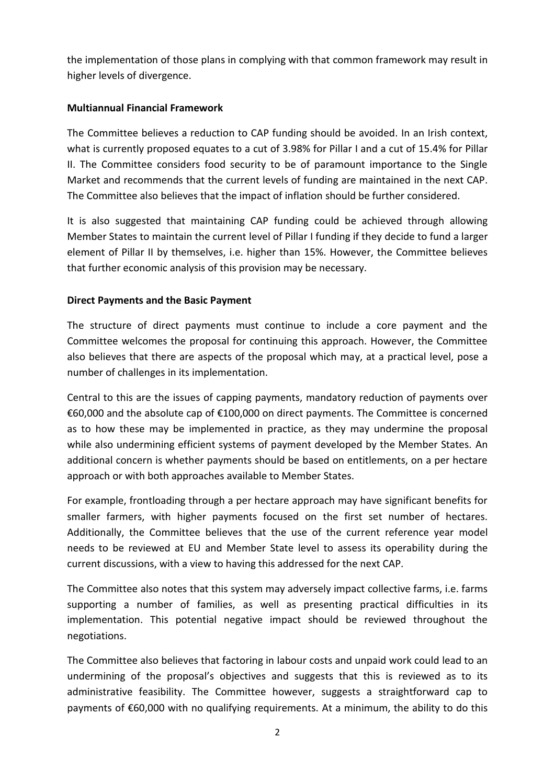the implementation of those plans in complying with that common framework may result in higher levels of divergence.

#### **Multiannual Financial Framework**

The Committee believes a reduction to CAP funding should be avoided. In an Irish context, what is currently proposed equates to a cut of 3.98% for Pillar I and a cut of 15.4% for Pillar II. The Committee considers food security to be of paramount importance to the Single Market and recommends that the current levels of funding are maintained in the next CAP. The Committee also believes that the impact of inflation should be further considered.

It is also suggested that maintaining CAP funding could be achieved through allowing Member States to maintain the current level of Pillar I funding if they decide to fund a larger element of Pillar II by themselves, i.e. higher than 15%. However, the Committee believes that further economic analysis of this provision may be necessary.

## **Direct Payments and the Basic Payment**

The structure of direct payments must continue to include a core payment and the Committee welcomes the proposal for continuing this approach. However, the Committee also believes that there are aspects of the proposal which may, at a practical level, pose a number of challenges in its implementation.

Central to this are the issues of capping payments, mandatory reduction of payments over €60,000 and the absolute cap of €100,000 on direct payments. The Committee is concerned as to how these may be implemented in practice, as they may undermine the proposal while also undermining efficient systems of payment developed by the Member States. An additional concern is whether payments should be based on entitlements, on a per hectare approach or with both approaches available to Member States.

For example, frontloading through a per hectare approach may have significant benefits for smaller farmers, with higher payments focused on the first set number of hectares. Additionally, the Committee believes that the use of the current reference year model needs to be reviewed at EU and Member State level to assess its operability during the current discussions, with a view to having this addressed for the next CAP.

The Committee also notes that this system may adversely impact collective farms, i.e. farms supporting a number of families, as well as presenting practical difficulties in its implementation. This potential negative impact should be reviewed throughout the negotiations.

The Committee also believes that factoring in labour costs and unpaid work could lead to an undermining of the proposal's objectives and suggests that this is reviewed as to its administrative feasibility. The Committee however, suggests a straightforward cap to payments of €60,000 with no qualifying requirements. At a minimum, the ability to do this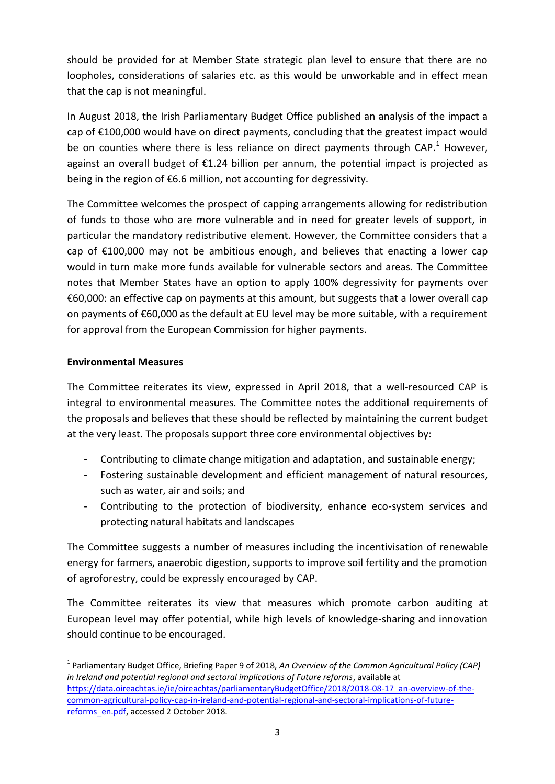should be provided for at Member State strategic plan level to ensure that there are no loopholes, considerations of salaries etc. as this would be unworkable and in effect mean that the cap is not meaningful.

In August 2018, the Irish Parliamentary Budget Office published an analysis of the impact a cap of €100,000 would have on direct payments, concluding that the greatest impact would be on counties where there is less reliance on direct payments through CAP.<sup>1</sup> However, against an overall budget of €1.24 billion per annum, the potential impact is projected as being in the region of €6.6 million, not accounting for degressivity.

The Committee welcomes the prospect of capping arrangements allowing for redistribution of funds to those who are more vulnerable and in need for greater levels of support, in particular the mandatory redistributive element. However, the Committee considers that a cap of  $E100,000$  may not be ambitious enough, and believes that enacting a lower cap would in turn make more funds available for vulnerable sectors and areas. The Committee notes that Member States have an option to apply 100% degressivity for payments over €60,000: an effective cap on payments at this amount, but suggests that a lower overall cap on payments of €60,000 as the default at EU level may be more suitable, with a requirement for approval from the European Commission for higher payments.

#### **Environmental Measures**

 $\overline{a}$ 

The Committee reiterates its view, expressed in April 2018, that a well-resourced CAP is integral to environmental measures. The Committee notes the additional requirements of the proposals and believes that these should be reflected by maintaining the current budget at the very least. The proposals support three core environmental objectives by:

- Contributing to climate change mitigation and adaptation, and sustainable energy;
- Fostering sustainable development and efficient management of natural resources, such as water, air and soils; and
- Contributing to the protection of biodiversity, enhance eco-system services and protecting natural habitats and landscapes

The Committee suggests a number of measures including the incentivisation of renewable energy for farmers, anaerobic digestion, supports to improve soil fertility and the promotion of agroforestry, could be expressly encouraged by CAP.

The Committee reiterates its view that measures which promote carbon auditing at European level may offer potential, while high levels of knowledge-sharing and innovation should continue to be encouraged.

<sup>&</sup>lt;sup>1</sup> Parliamentary Budget Office, Briefing Paper 9 of 2018, An Overview of the Common Agricultural Policy (CAP) *in Ireland and potential regional and sectoral implications of Future reforms*, available at [https://data.oireachtas.ie/ie/oireachtas/parliamentaryBudgetOffice/2018/2018-08-17\\_an-overview-of-the](https://data.oireachtas.ie/ie/oireachtas/parliamentaryBudgetOffice/2018/2018-08-17_an-overview-of-the-common-agricultural-policy-cap-in-ireland-and-potential-regional-and-sectoral-implications-of-future-reforms_en.pdf)[common-agricultural-policy-cap-in-ireland-and-potential-regional-and-sectoral-implications-of-future](https://data.oireachtas.ie/ie/oireachtas/parliamentaryBudgetOffice/2018/2018-08-17_an-overview-of-the-common-agricultural-policy-cap-in-ireland-and-potential-regional-and-sectoral-implications-of-future-reforms_en.pdf)[reforms\\_en.pdf,](https://data.oireachtas.ie/ie/oireachtas/parliamentaryBudgetOffice/2018/2018-08-17_an-overview-of-the-common-agricultural-policy-cap-in-ireland-and-potential-regional-and-sectoral-implications-of-future-reforms_en.pdf) accessed 2 October 2018.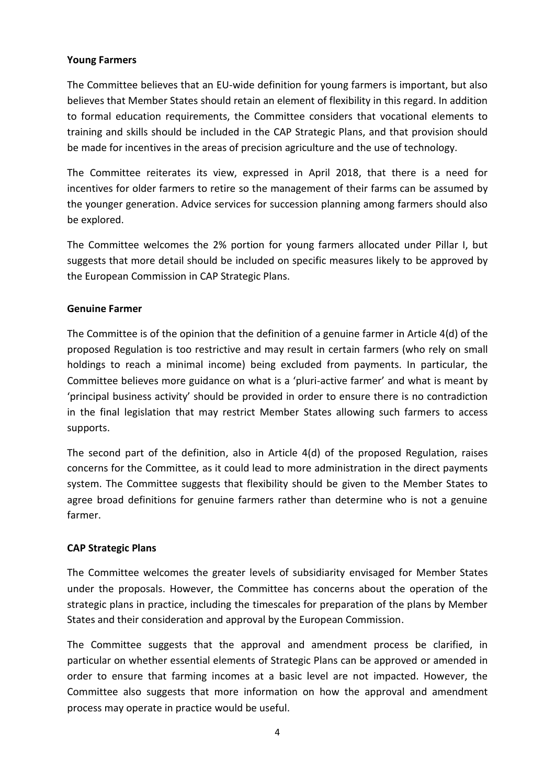#### **Young Farmers**

The Committee believes that an EU-wide definition for young farmers is important, but also believes that Member States should retain an element of flexibility in this regard. In addition to formal education requirements, the Committee considers that vocational elements to training and skills should be included in the CAP Strategic Plans, and that provision should be made for incentives in the areas of precision agriculture and the use of technology.

The Committee reiterates its view, expressed in April 2018, that there is a need for incentives for older farmers to retire so the management of their farms can be assumed by the younger generation. Advice services for succession planning among farmers should also be explored.

The Committee welcomes the 2% portion for young farmers allocated under Pillar I, but suggests that more detail should be included on specific measures likely to be approved by the European Commission in CAP Strategic Plans.

#### **Genuine Farmer**

The Committee is of the opinion that the definition of a genuine farmer in Article 4(d) of the proposed Regulation is too restrictive and may result in certain farmers (who rely on small holdings to reach a minimal income) being excluded from payments. In particular, the Committee believes more guidance on what is a 'pluri-active farmer' and what is meant by 'principal business activity' should be provided in order to ensure there is no contradiction in the final legislation that may restrict Member States allowing such farmers to access supports.

The second part of the definition, also in Article 4(d) of the proposed Regulation, raises concerns for the Committee, as it could lead to more administration in the direct payments system. The Committee suggests that flexibility should be given to the Member States to agree broad definitions for genuine farmers rather than determine who is not a genuine farmer.

#### **CAP Strategic Plans**

The Committee welcomes the greater levels of subsidiarity envisaged for Member States under the proposals. However, the Committee has concerns about the operation of the strategic plans in practice, including the timescales for preparation of the plans by Member States and their consideration and approval by the European Commission.

The Committee suggests that the approval and amendment process be clarified, in particular on whether essential elements of Strategic Plans can be approved or amended in order to ensure that farming incomes at a basic level are not impacted. However, the Committee also suggests that more information on how the approval and amendment process may operate in practice would be useful.